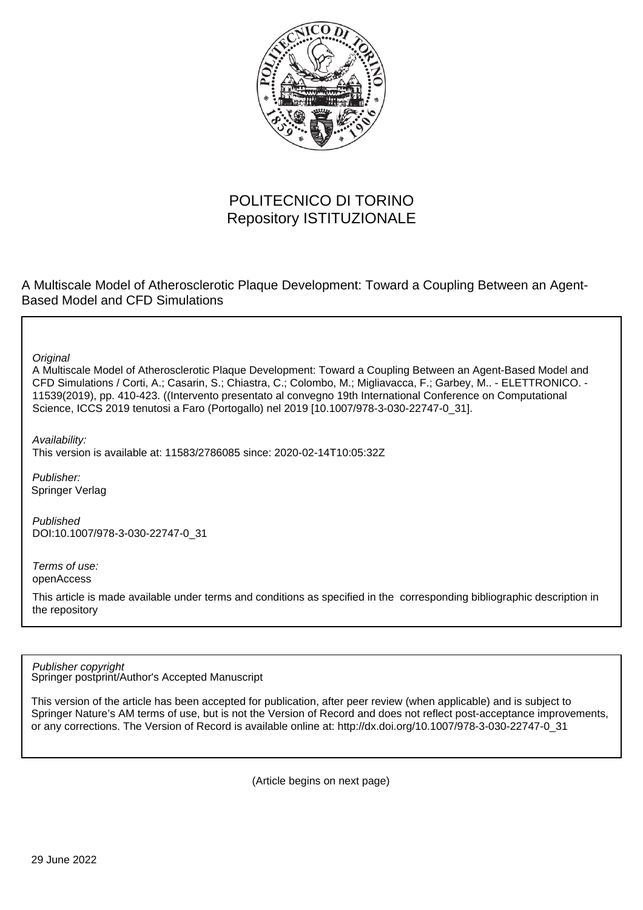

# POLITECNICO DI TORINO Repository ISTITUZIONALE

A Multiscale Model of Atherosclerotic Plaque Development: Toward a Coupling Between an Agent-Based Model and CFD Simulations

**Original** 

A Multiscale Model of Atherosclerotic Plaque Development: Toward a Coupling Between an Agent-Based Model and CFD Simulations / Corti, A.; Casarin, S.; Chiastra, C.; Colombo, M.; Migliavacca, F.; Garbey, M.. - ELETTRONICO. - 11539(2019), pp. 410-423. ((Intervento presentato al convegno 19th International Conference on Computational Science, ICCS 2019 tenutosi a Faro (Portogallo) nel 2019 [10.1007/978-3-030-22747-0\_31].

Availability:

This version is available at: 11583/2786085 since: 2020-02-14T10:05:32Z

Publisher: Springer Verlag

Published DOI:10.1007/978-3-030-22747-0\_31

Terms of use: openAccess

This article is made available under terms and conditions as specified in the corresponding bibliographic description in the repository

Springer postprint/Author's Accepted Manuscript Publisher copyright

This version of the article has been accepted for publication, after peer review (when applicable) and is subject to Springer Nature's AM terms of use, but is not the Version of Record and does not reflect post-acceptance improvements, or any corrections. The Version of Record is available online at: http://dx.doi.org/10.1007/978-3-030-22747-0\_31

(Article begins on next page)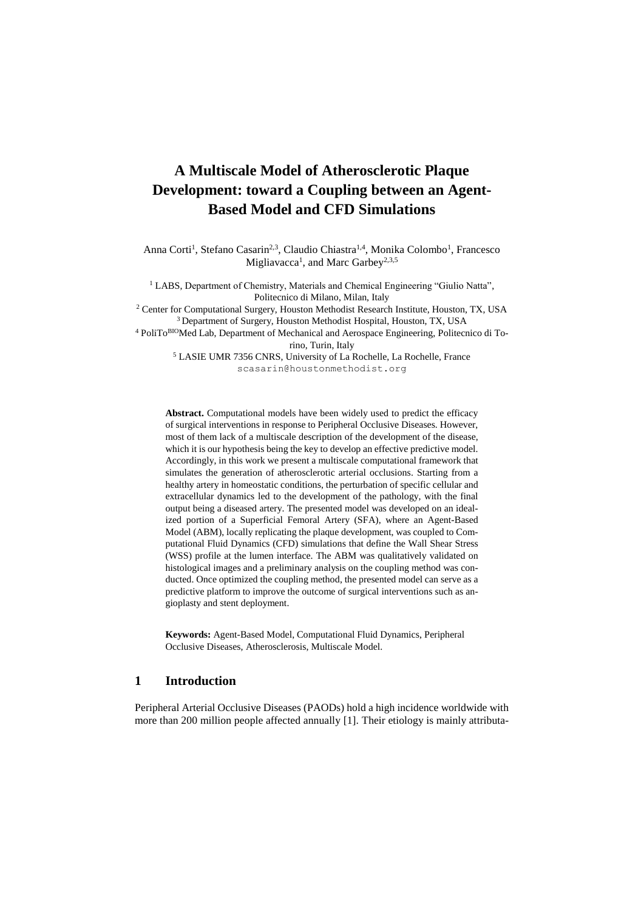# **A Multiscale Model of Atherosclerotic Plaque Development: toward a Coupling between an Agent-Based Model and CFD Simulations**

Anna Corti<sup>1</sup>, Stefano Casarin<sup>2,3</sup>, Claudio Chiastra<sup>1,4</sup>, Monika Colombo<sup>1</sup>, Francesco Migliavacca<sup>1</sup>, and Marc Garbey<sup>2,3,5</sup>

<sup>1</sup> LABS, Department of Chemistry, Materials and Chemical Engineering "Giulio Natta". Politecnico di Milano, Milan, Italy

<sup>2</sup> Center for Computational Surgery, Houston Methodist Research Institute, Houston, TX, USA <sup>3</sup> Department of Surgery, Houston Methodist Hospital, Houston, TX, USA

<sup>4</sup> PoliToBIOMed Lab, Department of Mechanical and Aerospace Engineering, Politecnico di Torino, Turin, Italy

<sup>5</sup> LASIE UMR 7356 CNRS, University of La Rochelle, La Rochelle, France scasarin@houstonmethodist.org

**Abstract.** Computational models have been widely used to predict the efficacy of surgical interventions in response to Peripheral Occlusive Diseases. However, most of them lack of a multiscale description of the development of the disease, which it is our hypothesis being the key to develop an effective predictive model. Accordingly, in this work we present a multiscale computational framework that simulates the generation of atherosclerotic arterial occlusions. Starting from a healthy artery in homeostatic conditions, the perturbation of specific cellular and extracellular dynamics led to the development of the pathology, with the final output being a diseased artery. The presented model was developed on an idealized portion of a Superficial Femoral Artery (SFA), where an Agent-Based Model (ABM), locally replicating the plaque development, was coupled to Computational Fluid Dynamics (CFD) simulations that define the Wall Shear Stress (WSS) profile at the lumen interface. The ABM was qualitatively validated on histological images and a preliminary analysis on the coupling method was conducted. Once optimized the coupling method, the presented model can serve as a predictive platform to improve the outcome of surgical interventions such as angioplasty and stent deployment.

**Keywords:** Agent-Based Model, Computational Fluid Dynamics, Peripheral Occlusive Diseases, Atherosclerosis, Multiscale Model.

# **1 Introduction**

Peripheral Arterial Occlusive Diseases (PAODs) hold a high incidence worldwide with more than 200 million people affected annually [1]. Their etiology is mainly attributa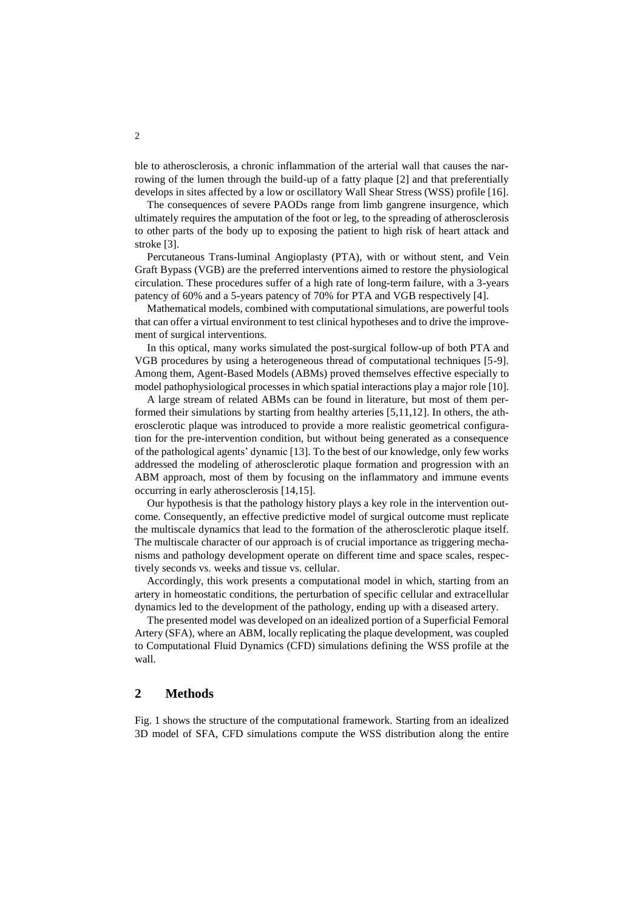ble to atherosclerosis, a chronic inflammation of the arterial wall that causes the narrowing of the lumen through the build-up of a fatty plaque [2] and that preferentially develops in sites affected by a low or oscillatory Wall Shear Stress (WSS) profile [16].

The consequences of severe PAODs range from limb gangrene insurgence, which ultimately requires the amputation of the foot or leg, to the spreading of atherosclerosis to other parts of the body up to exposing the patient to high risk of heart attack and stroke [3].

Percutaneous Trans-luminal Angioplasty (PTA), with or without stent, and Vein Graft Bypass (VGB) are the preferred interventions aimed to restore the physiological circulation. These procedures suffer of a high rate of long-term failure, with a 3-years patency of 60% and a 5-years patency of 70% for PTA and VGB respectively [4].

Mathematical models, combined with computational simulations, are powerful tools that can offer a virtual environment to test clinical hypotheses and to drive the improvement of surgical interventions.

In this optical, many works simulated the post-surgical follow-up of both PTA and VGB procedures by using a heterogeneous thread of computational techniques [5-9]. Among them, Agent-Based Models (ABMs) proved themselves effective especially to model pathophysiological processes in which spatial interactions play a major role [10].

A large stream of related ABMs can be found in literature, but most of them performed their simulations by starting from healthy arteries [5,11,12]. In others, the atherosclerotic plaque was introduced to provide a more realistic geometrical configuration for the pre-intervention condition, but without being generated as a consequence of the pathological agents' dynamic [13]. To the best of our knowledge, only few works addressed the modeling of atherosclerotic plaque formation and progression with an ABM approach, most of them by focusing on the inflammatory and immune events occurring in early atherosclerosis [14,15].

Our hypothesis is that the pathology history plays a key role in the intervention outcome. Consequently, an effective predictive model of surgical outcome must replicate the multiscale dynamics that lead to the formation of the atherosclerotic plaque itself. The multiscale character of our approach is of crucial importance as triggering mechanisms and pathology development operate on different time and space scales, respectively seconds vs. weeks and tissue vs. cellular.

Accordingly, this work presents a computational model in which, starting from an artery in homeostatic conditions, the perturbation of specific cellular and extracellular dynamics led to the development of the pathology, ending up with a diseased artery.

The presented model was developed on an idealized portion of a Superficial Femoral Artery (SFA), where an ABM, locally replicating the plaque development, was coupled to Computational Fluid Dynamics (CFD) simulations defining the WSS profile at the wall.

# **2 Methods**

Fig. 1 shows the structure of the computational framework. Starting from an idealized 3D model of SFA, CFD simulations compute the WSS distribution along the entire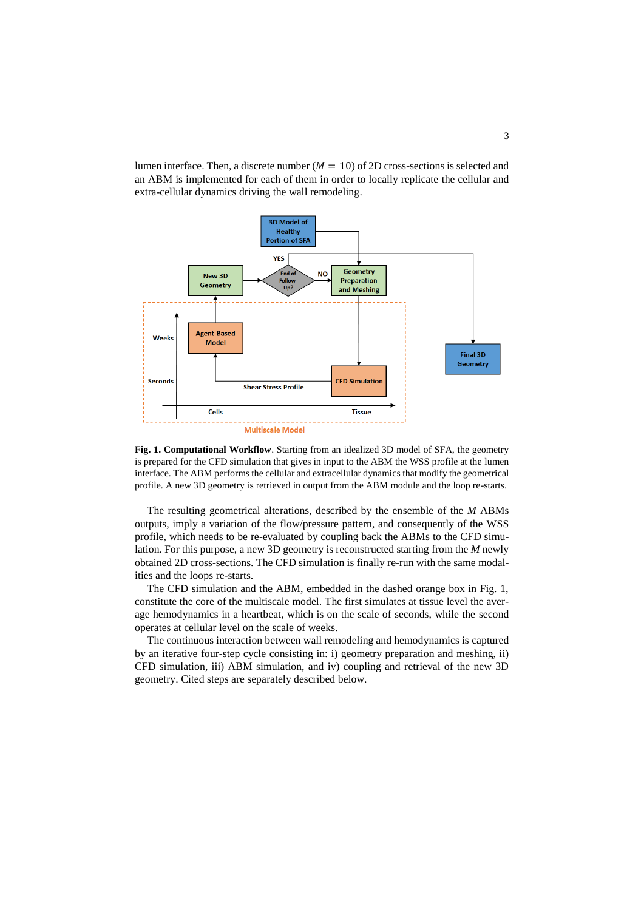lumen interface. Then, a discrete number ( $M = 10$ ) of 2D cross-sections is selected and an ABM is implemented for each of them in order to locally replicate the cellular and extra-cellular dynamics driving the wall remodeling.



**Fig. 1. Computational Workflow**. Starting from an idealized 3D model of SFA, the geometry is prepared for the CFD simulation that gives in input to the ABM the WSS profile at the lumen interface. The ABM performs the cellular and extracellular dynamics that modify the geometrical profile. A new 3D geometry is retrieved in output from the ABM module and the loop re-starts.

The resulting geometrical alterations, described by the ensemble of the *M* ABMs outputs, imply a variation of the flow/pressure pattern, and consequently of the WSS profile, which needs to be re-evaluated by coupling back the ABMs to the CFD simulation. For this purpose, a new 3D geometry is reconstructed starting from the *M* newly obtained 2D cross-sections. The CFD simulation is finally re-run with the same modalities and the loops re-starts.

The CFD simulation and the ABM, embedded in the dashed orange box in Fig. 1, constitute the core of the multiscale model. The first simulates at tissue level the average hemodynamics in a heartbeat, which is on the scale of seconds, while the second operates at cellular level on the scale of weeks.

The continuous interaction between wall remodeling and hemodynamics is captured by an iterative four-step cycle consisting in: i) geometry preparation and meshing, ii) CFD simulation, iii) ABM simulation, and iv) coupling and retrieval of the new 3D geometry. Cited steps are separately described below.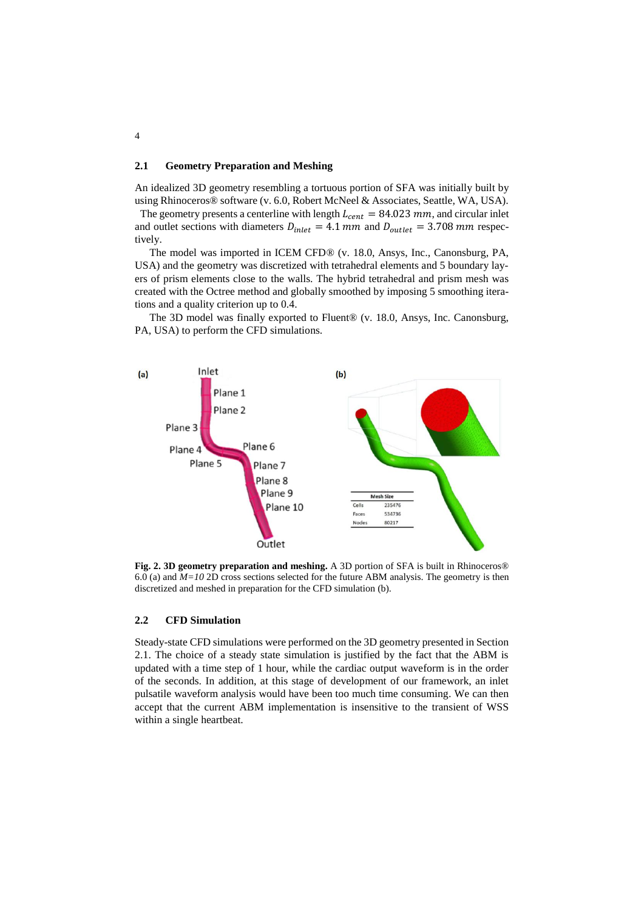#### **2.1 Geometry Preparation and Meshing**

An idealized 3D geometry resembling a tortuous portion of SFA was initially built by using Rhinoceros® software (v. 6.0, Robert McNeel & Associates, Seattle, WA, USA).

The geometry presents a centerline with length  $L_{cent} = 84.023$  mm, and circular inlet and outlet sections with diameters  $D_{inlet} = 4.1$  mm and  $D_{outlet} = 3.708$  mm respectively.

The model was imported in ICEM CFD® (v. 18.0, Ansys, Inc., Canonsburg, PA, USA) and the geometry was discretized with tetrahedral elements and 5 boundary layers of prism elements close to the walls. The hybrid tetrahedral and prism mesh was created with the Octree method and globally smoothed by imposing 5 smoothing iterations and a quality criterion up to 0.4.

The 3D model was finally exported to Fluent® (v. 18.0, Ansys, Inc. Canonsburg, PA, USA) to perform the CFD simulations.



**Fig. 2. 3D geometry preparation and meshing.** A 3D portion of SFA is built in Rhinoceros® 6.0 (a) and *M=10* 2D cross sections selected for the future ABM analysis. The geometry is then discretized and meshed in preparation for the CFD simulation (b).

#### **2.2 CFD Simulation**

Steady-state CFD simulations were performed on the 3D geometry presented in Section 2.1. The choice of a steady state simulation is justified by the fact that the ABM is updated with a time step of 1 hour, while the cardiac output waveform is in the order of the seconds. In addition, at this stage of development of our framework, an inlet pulsatile waveform analysis would have been too much time consuming. We can then accept that the current ABM implementation is insensitive to the transient of WSS within a single heartbeat.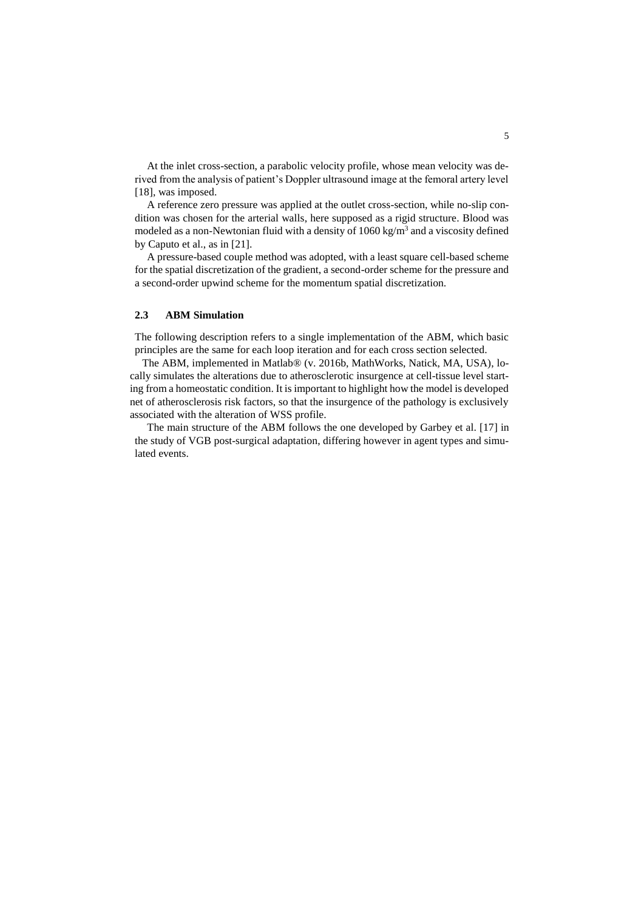At the inlet cross-section, a parabolic velocity profile, whose mean velocity was derived from the analysis of patient's Doppler ultrasound image at the femoral artery level [18], was imposed.

A reference zero pressure was applied at the outlet cross-section, while no-slip condition was chosen for the arterial walls, here supposed as a rigid structure. Blood was modeled as a non-Newtonian fluid with a density of  $1060 \text{ kg/m}^3$  and a viscosity defined by Caputo et al., as in [21].

A pressure-based couple method was adopted, with a least square cell-based scheme for the spatial discretization of the gradient, a second-order scheme for the pressure and a second-order upwind scheme for the momentum spatial discretization.

## **2.3 ABM Simulation**

The following description refers to a single implementation of the ABM, which basic principles are the same for each loop iteration and for each cross section selected.

The ABM, implemented in Matlab® (v. 2016b, MathWorks, Natick, MA, USA), locally simulates the alterations due to atherosclerotic insurgence at cell-tissue level starting from a homeostatic condition. It is important to highlight how the model is developed net of atherosclerosis risk factors, so that the insurgence of the pathology is exclusively associated with the alteration of WSS profile.

The main structure of the ABM follows the one developed by Garbey et al. [17] in the study of VGB post-surgical adaptation, differing however in agent types and simulated events.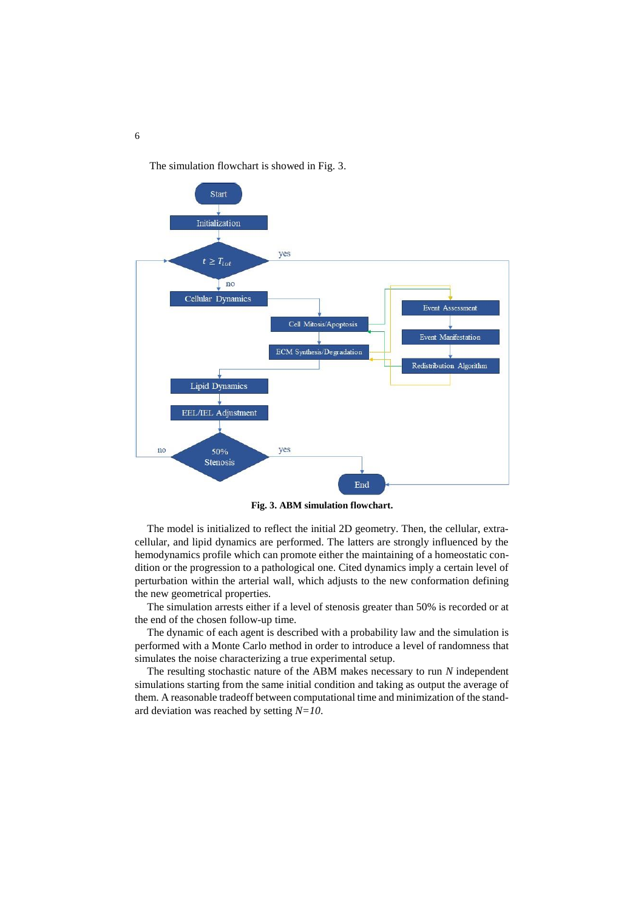The simulation flowchart is showed in Fig. 3.



**Fig. 3. ABM simulation flowchart.**

The model is initialized to reflect the initial 2D geometry. Then, the cellular, extracellular, and lipid dynamics are performed. The latters are strongly influenced by the hemodynamics profile which can promote either the maintaining of a homeostatic condition or the progression to a pathological one. Cited dynamics imply a certain level of perturbation within the arterial wall, which adjusts to the new conformation defining the new geometrical properties.

The simulation arrests either if a level of stenosis greater than 50% is recorded or at the end of the chosen follow-up time.

The dynamic of each agent is described with a probability law and the simulation is performed with a Monte Carlo method in order to introduce a level of randomness that simulates the noise characterizing a true experimental setup.

The resulting stochastic nature of the ABM makes necessary to run *N* independent simulations starting from the same initial condition and taking as output the average of them. A reasonable tradeoff between computational time and minimization of the standard deviation was reached by setting *N=10*.

6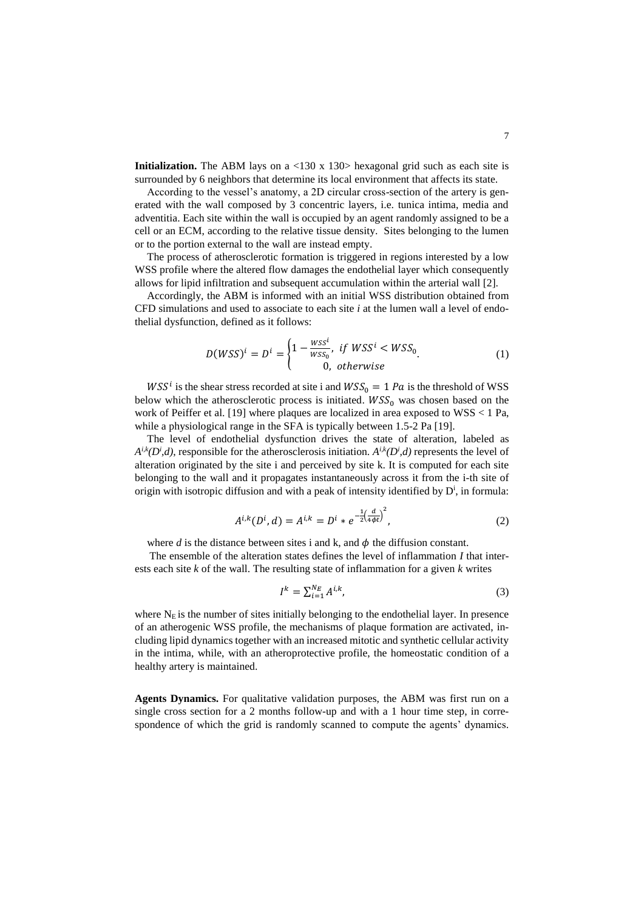**Initialization.** The ABM lays on a <130 x 130> hexagonal grid such as each site is surrounded by 6 neighbors that determine its local environment that affects its state.

According to the vessel's anatomy, a 2D circular cross-section of the artery is generated with the wall composed by 3 concentric layers, i.e. tunica intima, media and adventitia. Each site within the wall is occupied by an agent randomly assigned to be a cell or an ECM, according to the relative tissue density. Sites belonging to the lumen or to the portion external to the wall are instead empty.

The process of atherosclerotic formation is triggered in regions interested by a low WSS profile where the altered flow damages the endothelial layer which consequently allows for lipid infiltration and subsequent accumulation within the arterial wall [2].

Accordingly, the ABM is informed with an initial WSS distribution obtained from CFD simulations and used to associate to each site *i* at the lumen wall a level of endothelial dysfunction, defined as it follows:

$$
D(WSS)^i = D^i = \begin{cases} 1 - \frac{WSS^i}{WSS_0}, & \text{if } WSS^i < WSS_0\\ 0, & \text{otherwise} \end{cases} \tag{1}
$$

 $WSS^i$  is the shear stress recorded at site i and  $WSS_0 = 1 Pa$  is the threshold of WSS below which the atherosclerotic process is initiated.  $WSS_0$  was chosen based on the work of Peiffer et al. [19] where plaques are localized in area exposed to WSS < 1 Pa, while a physiological range in the SFA is typically between 1.5-2 Pa [19].

The level of endothelial dysfunction drives the state of alteration, labeled as  $A^{i,k}(D^i,d)$ , responsible for the atherosclerosis initiation.  $A^{i,k}(D^i,d)$  represents the level of alteration originated by the site i and perceived by site k. It is computed for each site belonging to the wall and it propagates instantaneously across it from the i-th site of origin with isotropic diffusion and with a peak of intensity identified by  $D^i$ , in formula:

$$
A^{i,k}(D^i,d) = A^{i,k} = D^i * e^{-\frac{1}{2} \left(\frac{d}{4\phi t}\right)^2},\tag{2}
$$

where  $d$  is the distance between sites i and  $k$ , and  $\phi$  the diffusion constant.

The ensemble of the alteration states defines the level of inflammation *I* that interests each site *k* of the wall. The resulting state of inflammation for a given *k* writes

$$
I^k = \sum_{i=1}^{N_E} A^{i,k},\tag{3}
$$

where  $N<sub>E</sub>$  is the number of sites initially belonging to the endothelial layer. In presence of an atherogenic WSS profile, the mechanisms of plaque formation are activated, including lipid dynamics together with an increased mitotic and synthetic cellular activity in the intima, while, with an atheroprotective profile, the homeostatic condition of a healthy artery is maintained.

**Agents Dynamics.** For qualitative validation purposes, the ABM was first run on a single cross section for a 2 months follow-up and with a 1 hour time step, in correspondence of which the grid is randomly scanned to compute the agents' dynamics.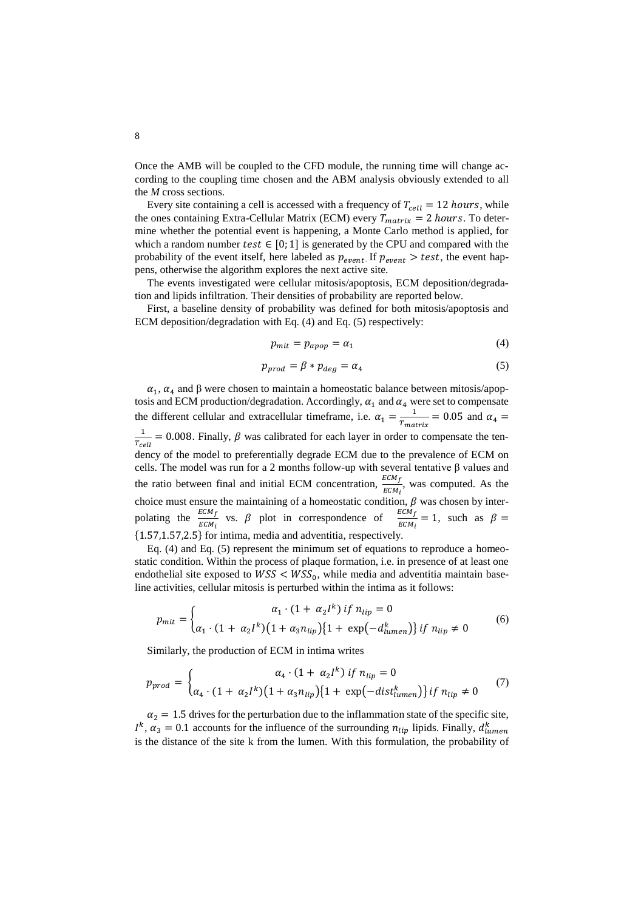Once the AMB will be coupled to the CFD module, the running time will change according to the coupling time chosen and the ABM analysis obviously extended to all the *M* cross sections.

Every site containing a cell is accessed with a frequency of  $T_{cell} = 12$  hours, while the ones containing Extra-Cellular Matrix (ECM) every  $T_{matrix} = 2 \text{ hours}$ . To determine whether the potential event is happening, a Monte Carlo method is applied, for which a random number test  $\in [0; 1]$  is generated by the CPU and compared with the probability of the event itself, here labeled as  $p_{event}$ . If  $p_{event} > test$ , the event happens, otherwise the algorithm explores the next active site.

The events investigated were cellular mitosis/apoptosis, ECM deposition/degradation and lipids infiltration. Their densities of probability are reported below.

First, a baseline density of probability was defined for both mitosis/apoptosis and ECM deposition/degradation with Eq. (4) and Eq. (5) respectively:

$$
p_{mit} = p_{apop} = \alpha_1 \tag{4}
$$

$$
p_{prod} = \beta * p_{deg} = \alpha_4 \tag{5}
$$

 $\alpha_1$ ,  $\alpha_4$  and  $\beta$  were chosen to maintain a homeostatic balance between mitosis/apoptosis and ECM production/degradation. Accordingly,  $\alpha_1$  and  $\alpha_4$  were set to compensate the different cellular and extracellular timeframe, i.e.  $\alpha_1 = \frac{1}{T}$  $\frac{1}{T_{matrix}}$  = 0.05 and  $\alpha_4$  = 1  $\frac{1}{T_{cell}}$  = 0.008. Finally,  $\beta$  was calibrated for each layer in order to compensate the tendency of the model to preferentially degrade ECM due to the prevalence of ECM on cells. The model was run for a 2 months follow-up with several tentative β values and the ratio between final and initial ECM concentration,  $\frac{ECM_f}{ECM_i}$ , was computed. As the choice must ensure the maintaining of a homeostatic condition,  $\beta$  was chosen by interpolating the  $\frac{ECM_f}{ECM_i}$  vs.  $\beta$  plot in correspondence of  $\frac{ECM_f}{ECM_i} = 1$ , such as  $\beta =$ {1.57,1.57,2.5} for intima, media and adventitia, respectively.

Eq. (4) and Eq. (5) represent the minimum set of equations to reproduce a homeostatic condition. Within the process of plaque formation, i.e. in presence of at least one endothelial site exposed to  $WSS < WSS_0$ , while media and adventitia maintain baseline activities, cellular mitosis is perturbed within the intima as it follows:

$$
p_{mit} = \begin{cases} \alpha_1 \cdot (1 + \alpha_2 l^k) \; if \; n_{lip} = 0 \\ \alpha_1 \cdot (1 + \alpha_2 l^k) (1 + \alpha_3 n_{lip}) \{1 + \exp(-d_{lumen}^k)\} \; if \; n_{lip} \neq 0 \end{cases} \tag{6}
$$

Similarly, the production of ECM in intima writes

$$
p_{prod} = \begin{cases} \alpha_4 \cdot (1 + \alpha_2 l^k) \, if \, n_{lip} = 0 \\ \alpha_4 \cdot (1 + \alpha_2 l^k) \big( 1 + \alpha_3 n_{lip} \big) \{ 1 + \exp(-dist_{lumen}^k) \} \, if \, n_{lip} \neq 0 \end{cases} \tag{7}
$$

 $\alpha_2 = 1.5$  drives for the perturbation due to the inflammation state of the specific site,  $I^k$ ,  $\alpha_3 = 0.1$  accounts for the influence of the surrounding  $n_{lip}$  lipids. Finally,  $d_{lumen}^k$ is the distance of the site k from the lumen. With this formulation, the probability of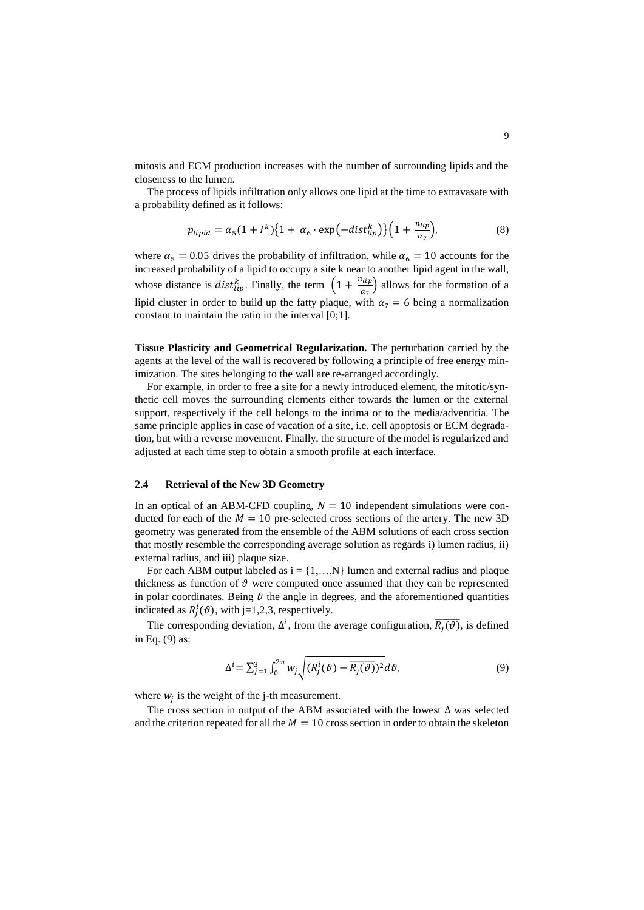mitosis and ECM production increases with the number of surrounding lipids and the closeness to the lumen.

The process of lipids infiltration only allows one lipid at the time to extravasate with a probability defined as it follows:

$$
p_{lipid} = \alpha_5 (1 + I^k) \{ 1 + \alpha_6 \cdot \exp(-dist_{lip}^k) \} \left( 1 + \frac{n_{lip}}{\alpha_7} \right),\tag{8}
$$

where  $\alpha_5 = 0.05$  drives the probability of infiltration, while  $\alpha_6 = 10$  accounts for the increased probability of a lipid to occupy a site k near to another lipid agent in the wall, whose distance is *dist*<sup>k</sup><sub>lip</sub>. Finally, the term  $\left(1 + \frac{n_{lip}}{g_a}\right)$  $\frac{u_{tp}}{a_7}$  allows for the formation of a lipid cluster in order to build up the fatty plaque, with  $\alpha_7 = 6$  being a normalization constant to maintain the ratio in the interval [0;1].

**Tissue Plasticity and Geometrical Regularization.** The perturbation carried by the agents at the level of the wall is recovered by following a principle of free energy minimization. The sites belonging to the wall are re-arranged accordingly.

For example, in order to free a site for a newly introduced element, the mitotic/synthetic cell moves the surrounding elements either towards the lumen or the external support, respectively if the cell belongs to the intima or to the media/adventitia. The same principle applies in case of vacation of a site, i.e. cell apoptosis or ECM degradation, but with a reverse movement. Finally, the structure of the model is regularized and adjusted at each time step to obtain a smooth profile at each interface.

#### **2.4 Retrieval of the New 3D Geometry**

In an optical of an ABM-CFD coupling,  $N = 10$  independent simulations were conducted for each of the  $M = 10$  pre-selected cross sections of the artery. The new 3D geometry was generated from the ensemble of the ABM solutions of each cross section that mostly resemble the corresponding average solution as regards i) lumen radius, ii) external radius, and iii) plaque size.

For each ABM output labeled as  $i = \{1,...,N\}$  lumen and external radius and plaque thickness as function of  $\vartheta$  were computed once assumed that they can be represented in polar coordinates. Being  $\vartheta$  the angle in degrees, and the aforementioned quantities indicated as  $R_j^i(\vartheta)$ , with j=1,2,3, respectively.

The corresponding deviation,  $\Delta^i$ , from the average configuration,  $\overline{R_j(\vartheta)}$ , is defined in Eq. (9) as:

$$
\Delta^{i} = \sum_{j=1}^{3} \int_{0}^{2\pi} w_{j} \sqrt{(R_{j}^{i}(\vartheta) - \overline{R_{j}(\vartheta)})^{2}} d\vartheta, \tag{9}
$$

where  $w_j$  is the weight of the j-th measurement.

The cross section in output of the ABM associated with the lowest  $\Delta$  was selected and the criterion repeated for all the  $M = 10$  cross section in order to obtain the skeleton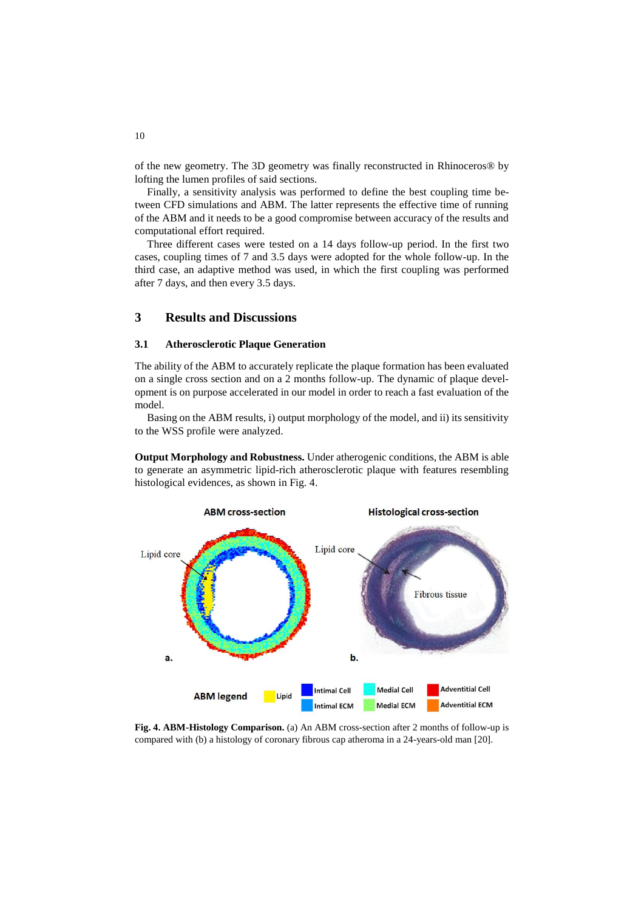of the new geometry. The 3D geometry was finally reconstructed in Rhinoceros® by lofting the lumen profiles of said sections.

Finally, a sensitivity analysis was performed to define the best coupling time between CFD simulations and ABM. The latter represents the effective time of running of the ABM and it needs to be a good compromise between accuracy of the results and computational effort required.

Three different cases were tested on a 14 days follow-up period. In the first two cases, coupling times of 7 and 3.5 days were adopted for the whole follow-up. In the third case, an adaptive method was used, in which the first coupling was performed after 7 days, and then every 3.5 days.

# **3 Results and Discussions**

#### **3.1 Atherosclerotic Plaque Generation**

The ability of the ABM to accurately replicate the plaque formation has been evaluated on a single cross section and on a 2 months follow-up. The dynamic of plaque development is on purpose accelerated in our model in order to reach a fast evaluation of the model.

Basing on the ABM results, i) output morphology of the model, and ii) its sensitivity to the WSS profile were analyzed.

**Output Morphology and Robustness.** Under atherogenic conditions, the ABM is able to generate an asymmetric lipid-rich atherosclerotic plaque with features resembling histological evidences, as shown in Fig. 4.



**Fig. 4. ABM-Histology Comparison.** (a) An ABM cross-section after 2 months of follow-up is compared with (b) a histology of coronary fibrous cap atheroma in a 24-years-old man [20].

10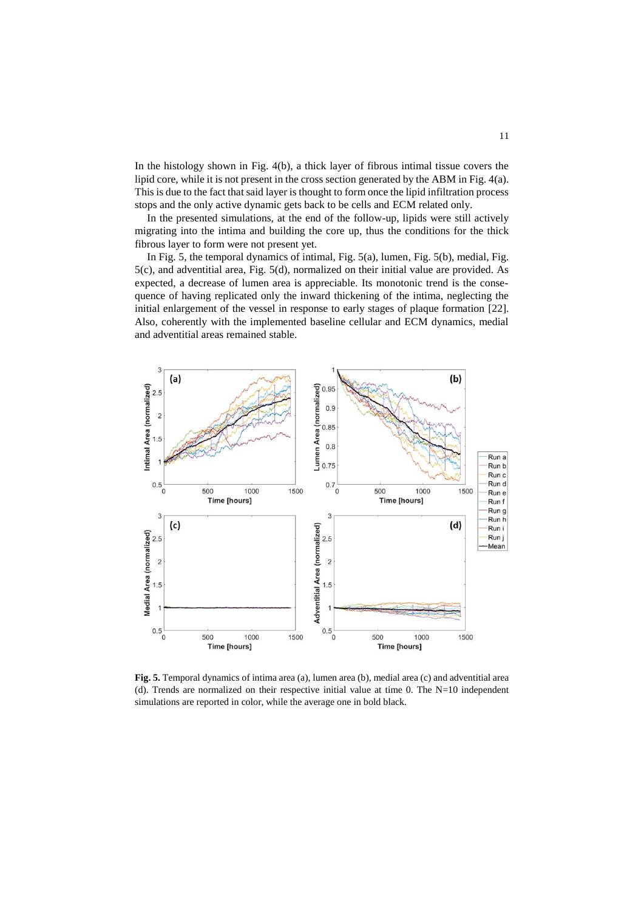In the histology shown in Fig. 4(b), a thick layer of fibrous intimal tissue covers the lipid core, while it is not present in the cross section generated by the ABM in Fig. 4(a). This is due to the fact that said layer is thought to form once the lipid infiltration process stops and the only active dynamic gets back to be cells and ECM related only.

In the presented simulations, at the end of the follow-up, lipids were still actively migrating into the intima and building the core up, thus the conditions for the thick fibrous layer to form were not present yet.

In Fig. 5, the temporal dynamics of intimal, Fig. 5(a), lumen, Fig. 5(b), medial, Fig. 5(c), and adventitial area, Fig. 5(d), normalized on their initial value are provided. As expected, a decrease of lumen area is appreciable. Its monotonic trend is the consequence of having replicated only the inward thickening of the intima, neglecting the initial enlargement of the vessel in response to early stages of plaque formation [22]. Also, coherently with the implemented baseline cellular and ECM dynamics, medial and adventitial areas remained stable.



**Fig. 5.** Temporal dynamics of intima area (a), lumen area (b), medial area (c) and adventitial area (d). Trends are normalized on their respective initial value at time 0. The N=10 independent simulations are reported in color, while the average one in bold black.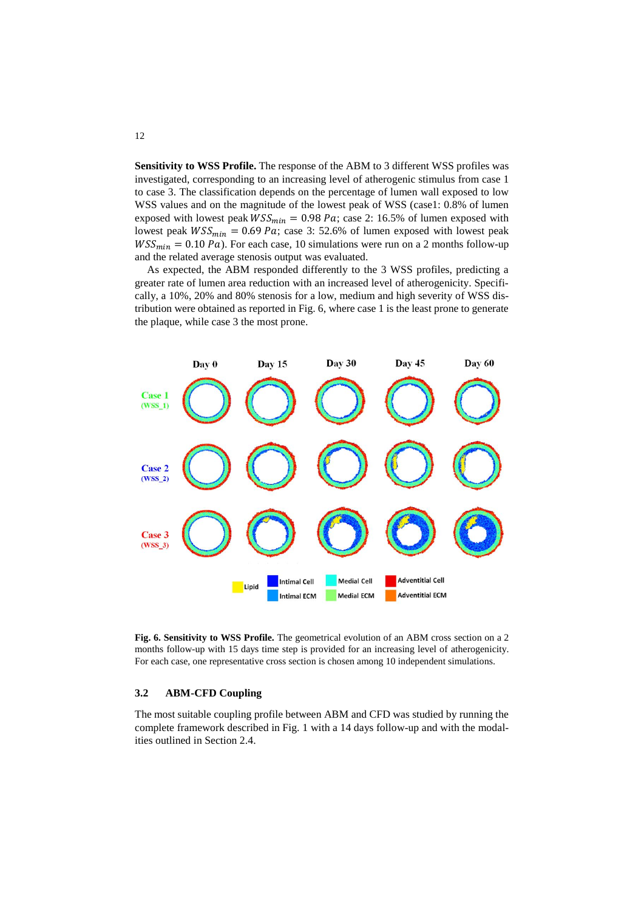**Sensitivity to WSS Profile.** The response of the ABM to 3 different WSS profiles was investigated, corresponding to an increasing level of atherogenic stimulus from case 1 to case 3. The classification depends on the percentage of lumen wall exposed to low WSS values and on the magnitude of the lowest peak of WSS (case1: 0.8% of lumen exposed with lowest peak  $WSS_{min} = 0.98 \text{ Pa}$ ; case 2: 16.5% of lumen exposed with lowest peak  $WSS_{min} = 0.69 Pa$ ; case 3: 52.6% of lumen exposed with lowest peak  $WSS_{min} = 0.10 Pa$ . For each case, 10 simulations were run on a 2 months follow-up and the related average stenosis output was evaluated.

As expected, the ABM responded differently to the 3 WSS profiles, predicting a greater rate of lumen area reduction with an increased level of atherogenicity. Specifically, a 10%, 20% and 80% stenosis for a low, medium and high severity of WSS distribution were obtained as reported in Fig. 6, where case 1 is the least prone to generate the plaque, while case 3 the most prone.



**Fig. 6. Sensitivity to WSS Profile.** The geometrical evolution of an ABM cross section on a 2 months follow-up with 15 days time step is provided for an increasing level of atherogenicity. For each case, one representative cross section is chosen among 10 independent simulations.

### **3.2 ABM-CFD Coupling**

The most suitable coupling profile between ABM and CFD was studied by running the complete framework described in Fig. 1 with a 14 days follow-up and with the modalities outlined in Section 2.4.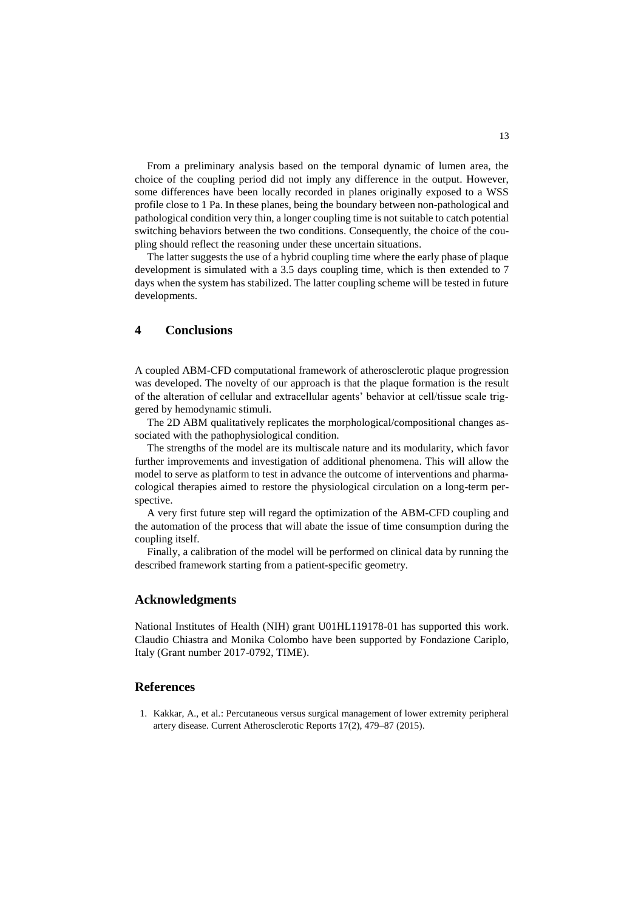From a preliminary analysis based on the temporal dynamic of lumen area, the choice of the coupling period did not imply any difference in the output. However, some differences have been locally recorded in planes originally exposed to a WSS profile close to 1 Pa. In these planes, being the boundary between non-pathological and pathological condition very thin, a longer coupling time is not suitable to catch potential switching behaviors between the two conditions. Consequently, the choice of the coupling should reflect the reasoning under these uncertain situations.

The latter suggests the use of a hybrid coupling time where the early phase of plaque development is simulated with a 3.5 days coupling time, which is then extended to 7 days when the system has stabilized. The latter coupling scheme will be tested in future developments.

## **4 Conclusions**

A coupled ABM-CFD computational framework of atherosclerotic plaque progression was developed. The novelty of our approach is that the plaque formation is the result of the alteration of cellular and extracellular agents' behavior at cell/tissue scale triggered by hemodynamic stimuli.

The 2D ABM qualitatively replicates the morphological/compositional changes associated with the pathophysiological condition.

The strengths of the model are its multiscale nature and its modularity, which favor further improvements and investigation of additional phenomena. This will allow the model to serve as platform to test in advance the outcome of interventions and pharmacological therapies aimed to restore the physiological circulation on a long-term perspective.

A very first future step will regard the optimization of the ABM-CFD coupling and the automation of the process that will abate the issue of time consumption during the coupling itself.

Finally, a calibration of the model will be performed on clinical data by running the described framework starting from a patient-specific geometry.

## **Acknowledgments**

National Institutes of Health (NIH) grant U01HL119178-01 has supported this work. Claudio Chiastra and Monika Colombo have been supported by Fondazione Cariplo, Italy (Grant number 2017-0792, TIME).

## **References**

1. Kakkar, A., et al.: Percutaneous versus surgical management of lower extremity peripheral artery disease. Current Atherosclerotic Reports 17(2), 479–87 (2015).